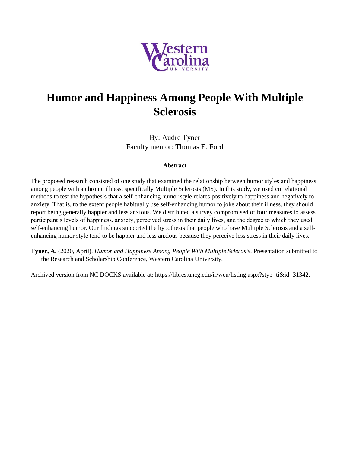

#### **Humor and Happiness Among People With Multiple Sclerosis**

By: Audre Tyner Faculty mentor: Thomas E. Ford

#### **Abstract**

The proposed research consisted of one study that examined the relationship between humor styles and happiness among people with a chronic illness, specifically Multiple Sclerosis (MS). In this study, we used correlational methods to test the hypothesis that a self-enhancing humor style relates positively to happiness and negatively to anxiety. That is, to the extent people habitually use self-enhancing humor to joke about their illness, they should report being generally happier and less anxious. We distributed a survey compromised of four measures to assess participant's levels of happiness, anxiety, perceived stress in their daily lives, and the degree to which they used self-enhancing humor. Our findings supported the hypothesis that people who have Multiple Sclerosis and a selfenhancing humor style tend to be happier and less anxious because they perceive less stress in their daily lives.

**Tyner, A.** (2020, April). *Humor and Happiness Among People With Multiple Sclerosis.* Presentation submitted to the Research and Scholarship Conference, Western Carolina University.

Archived version from NC DOCKS available at: https://libres.uncg.edu/ir/wcu/listing.aspx?styp=ti&id=31342.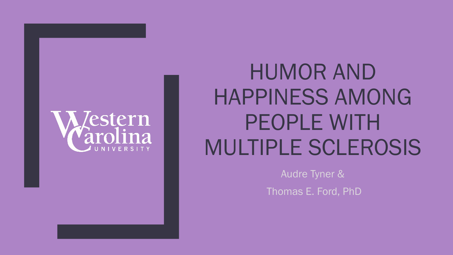

# HUMOR AND HAPPINESS AMONG PEOPLE WITH MULTIPLE SCLEROSIS

Audre Tyner &

Thomas E. Ford, PhD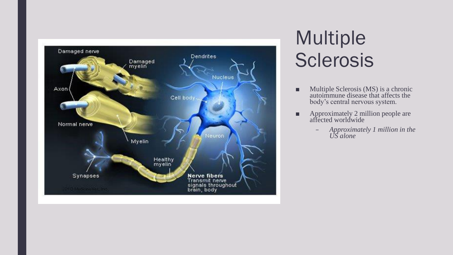

# Multiple **Sclerosis**

- Multiple Sclerosis (MS) is a chronic autoimmune disease that affects the body's central nervous system.
- Approximately 2 million people are affected worldwide
	- *Approximately 1 million in the US alone*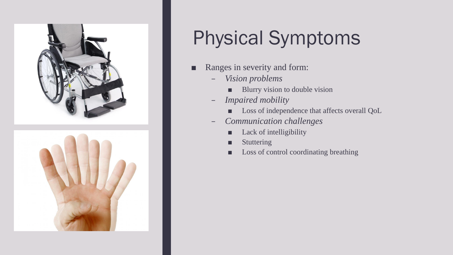

# Physical Symptoms

- Ranges in severity and form:
	- *Vision problems*
		- Blurry vision to double vision
	- *Impaired mobility*
		- Loss of independence that affects overall QoL
	- *Communication challenges* 
		- Lack of intelligibility
		- **Stuttering**
		- Loss of control coordinating breathing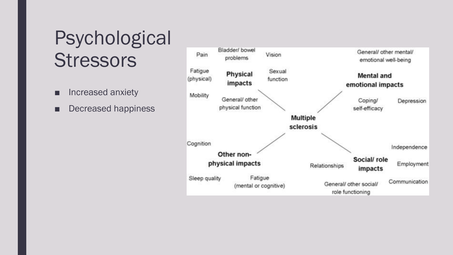# Psychological **Stressors**

- Increased anxiety
- Decreased happiness

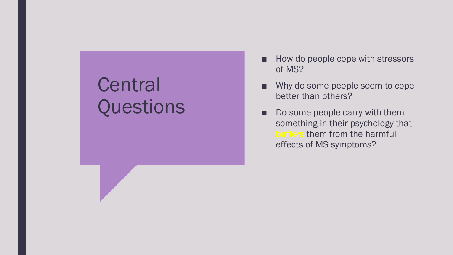# **Central Questions**

- How do people cope with stressors of MS?
- Why do some people seem to cope better than others?
- Do some people carry with them something in their psychology that buffers them from the harmful effects of MS symptoms?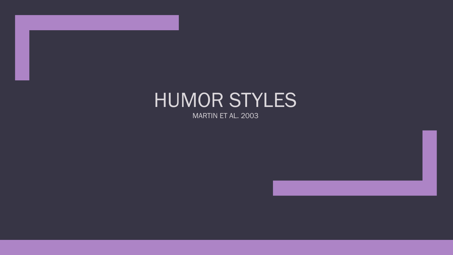# HUMOR STYLES

MARTIN ET AL. 2003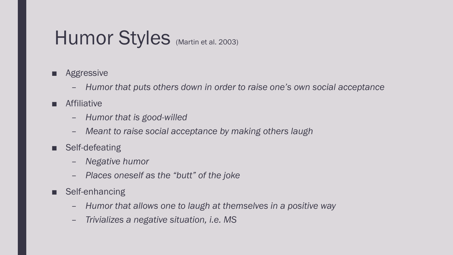# Humor Styles (Martin et al. 2003)

- Aggressive
	- *Humor that puts others down in order to raise one's own social acceptance*
- Affiliative
	- *Humor that is good-willed*
	- *Meant to raise social acceptance by making others laugh*
- Self-defeating
	- *Negative humor*
	- *Places oneself as the "butt" of the joke*
- Self-enhancing
	- *Humor that allows one to laugh at themselves in a positive way*
	- *Trivializes a negative situation, i.e. MS*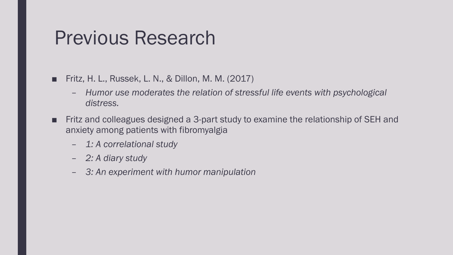## Previous Research

- Fritz, H. L., Russek, L. N., & Dillon, M. M. (2017)
	- *Humor use moderates the relation of stressful life events with psychological distress.*
- Fritz and colleagues designed a 3-part study to examine the relationship of SEH and anxiety among patients with fibromyalgia
	- *1: A correlational study*
	- *2: A diary study*
	- *3: An experiment with humor manipulation*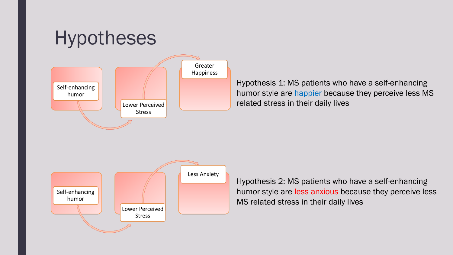

Hypothesis 1: MS patients who have a self-enhancing humor style are happier because they perceive less MS related stress in their daily lives



Hypothesis 2: MS patients who have a self-enhancing humor style are less anxious because they perceive less MS related stress in their daily lives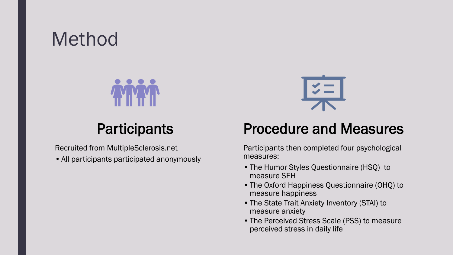## Method



### **Participants**

Recruited from MultipleSclerosis.net

•All participants participated anonymously



#### Procedure and Measures

Participants then completed four psychological measures:

- •The Humor Styles Questionnaire (HSQ) to measure SEH
- •The Oxford Happiness Questionnaire (OHQ) to measure happiness
- •The State Trait Anxiety Inventory (STAI) to measure anxiety
- •The Perceived Stress Scale (PSS) to measure perceived stress in daily life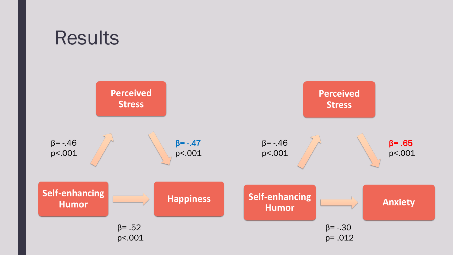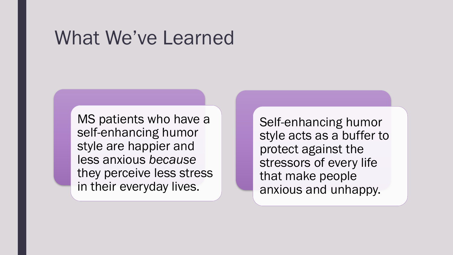### What We've Learned

MS patients who have a self-enhancing humor style are happier and less anxious *because* they perceive less stress in their everyday lives.

Self-enhancing humor style acts as a buffer to protect against the stressors of every life that make people anxious and unhappy.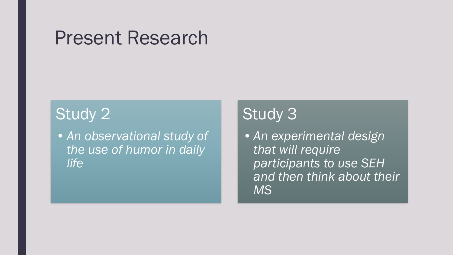### Present Research

#### Study 2

•*An observational study of the use of humor in daily life*

### Study 3

•*An experimental design that will require participants to use SEH and then think about their MS*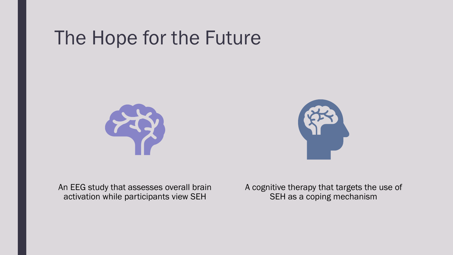# The Hope for the Future





An EEG study that assesses overall brain activation while participants view SEH

A cognitive therapy that targets the use of SEH as a coping mechanism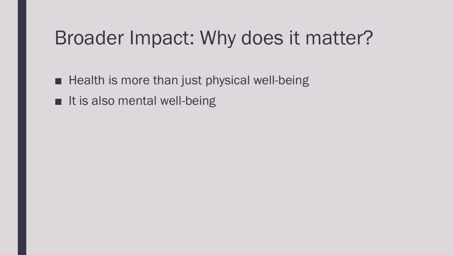# Broader Impact: Why does it matter?

- Health is more than just physical well-being
- It is also mental well-being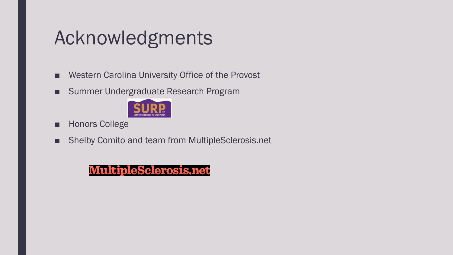# Acknowledgments

- Western Carolina University Office of the Provost
- Summer Undergraduate Research Program



- Honors College
- Shelby Comito and team from MultipleSclerosis.net